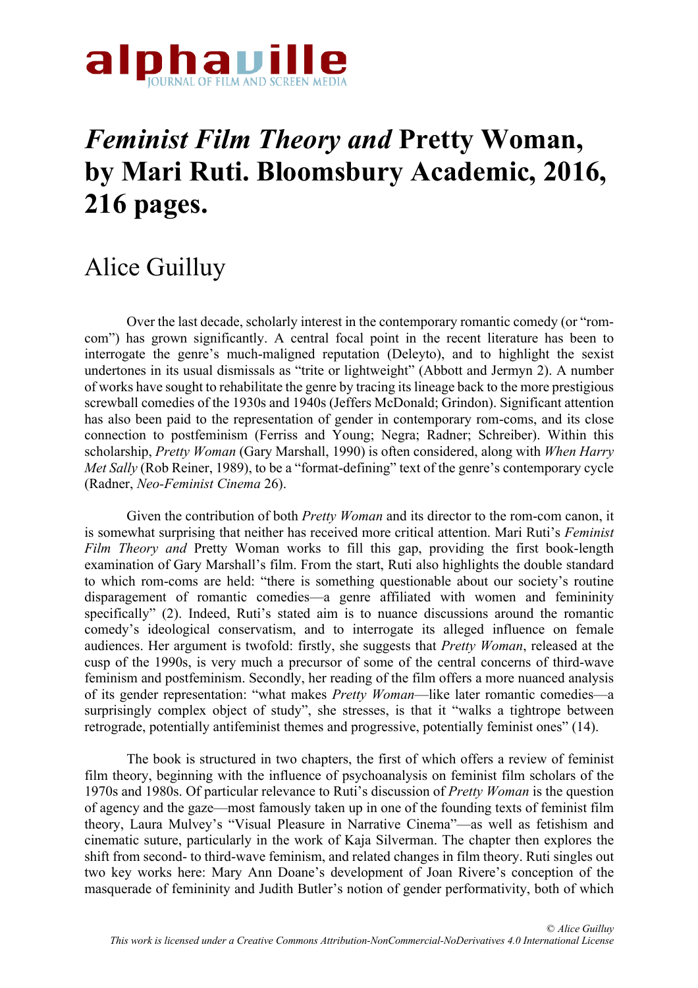

## *Feminist Film Theory and* **Pretty Woman, by Mari Ruti. Bloomsbury Academic, 2016, 216 pages.**

## Alice Guilluy

Over the last decade, scholarly interest in the contemporary romantic comedy (or "romcom") has grown significantly. A central focal point in the recent literature has been to interrogate the genre's much-maligned reputation (Deleyto), and to highlight the sexist undertones in its usual dismissals as "trite or lightweight" (Abbott and Jermyn 2). A number of works have sought to rehabilitate the genre by tracing its lineage back to the more prestigious screwball comedies of the 1930s and 1940s (Jeffers McDonald; Grindon). Significant attention has also been paid to the representation of gender in contemporary rom-coms, and its close connection to postfeminism (Ferriss and Young; Negra; Radner; Schreiber). Within this scholarship, *Pretty Woman* (Gary Marshall, 1990) is often considered, along with *When Harry Met Sally* (Rob Reiner, 1989), to be a "format-defining" text of the genre's contemporary cycle (Radner, *Neo-Feminist Cinema* 26).

Given the contribution of both *Pretty Woman* and its director to the rom-com canon, it is somewhat surprising that neither has received more critical attention. Mari Ruti's *Feminist Film Theory and* Pretty Woman works to fill this gap, providing the first book-length examination of Gary Marshall's film. From the start, Ruti also highlights the double standard to which rom-coms are held: "there is something questionable about our society's routine disparagement of romantic comedies—a genre affiliated with women and femininity specifically" (2). Indeed, Ruti's stated aim is to nuance discussions around the romantic comedy's ideological conservatism, and to interrogate its alleged influence on female audiences. Her argument is twofold: firstly, she suggests that *Pretty Woman*, released at the cusp of the 1990s, is very much a precursor of some of the central concerns of third-wave feminism and postfeminism. Secondly, her reading of the film offers a more nuanced analysis of its gender representation: "what makes *Pretty Woman*—like later romantic comedies—a surprisingly complex object of study", she stresses, is that it "walks a tightrope between retrograde, potentially antifeminist themes and progressive, potentially feminist ones" (14).

The book is structured in two chapters, the first of which offers a review of feminist film theory, beginning with the influence of psychoanalysis on feminist film scholars of the 1970s and 1980s. Of particular relevance to Ruti's discussion of *Pretty Woman* is the question of agency and the gaze—most famously taken up in one of the founding texts of feminist film theory, Laura Mulvey's "Visual Pleasure in Narrative Cinema"—as well as fetishism and cinematic suture, particularly in the work of Kaja Silverman. The chapter then explores the shift from second- to third-wave feminism, and related changes in film theory. Ruti singles out two key works here: Mary Ann Doane's development of Joan Rivere's conception of the masquerade of femininity and Judith Butler's notion of gender performativity, both of which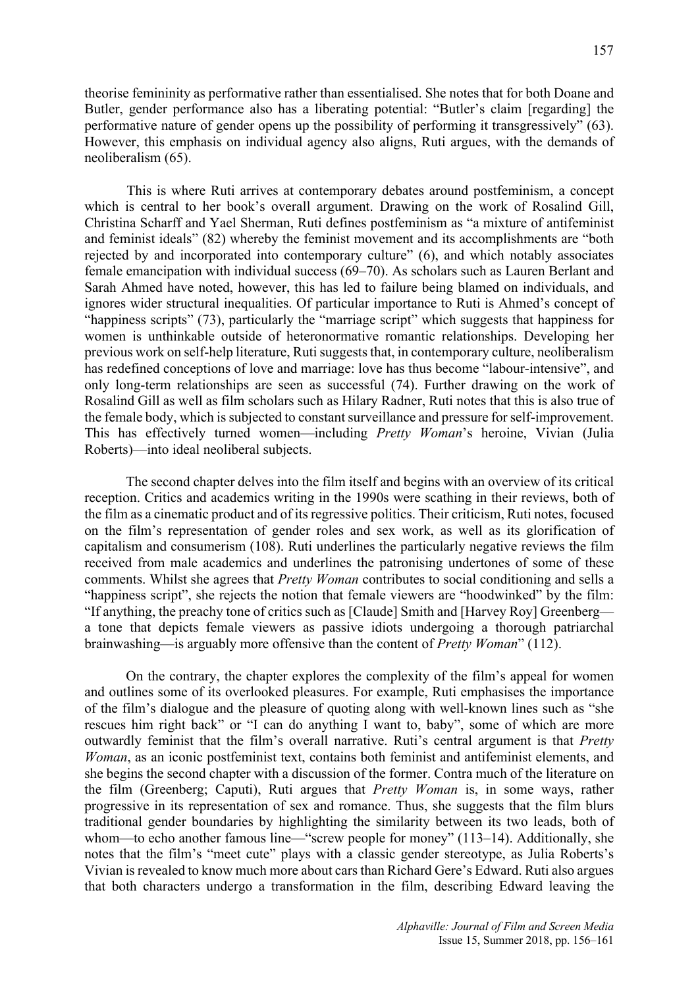theorise femininity as performative rather than essentialised. She notes that for both Doane and Butler, gender performance also has a liberating potential: "Butler's claim [regarding] the performative nature of gender opens up the possibility of performing it transgressively" (63). However, this emphasis on individual agency also aligns, Ruti argues, with the demands of neoliberalism (65).

This is where Ruti arrives at contemporary debates around postfeminism, a concept which is central to her book's overall argument. Drawing on the work of Rosalind Gill, Christina Scharff and Yael Sherman, Ruti defines postfeminism as "a mixture of antifeminist and feminist ideals" (82) whereby the feminist movement and its accomplishments are "both rejected by and incorporated into contemporary culture" (6), and which notably associates female emancipation with individual success (69–70). As scholars such as Lauren Berlant and Sarah Ahmed have noted, however, this has led to failure being blamed on individuals, and ignores wider structural inequalities. Of particular importance to Ruti is Ahmed's concept of "happiness scripts" (73), particularly the "marriage script" which suggests that happiness for women is unthinkable outside of heteronormative romantic relationships. Developing her previous work on self-help literature, Ruti suggests that, in contemporary culture, neoliberalism has redefined conceptions of love and marriage: love has thus become "labour-intensive", and only long-term relationships are seen as successful (74). Further drawing on the work of Rosalind Gill as well as film scholars such as Hilary Radner, Ruti notes that this is also true of the female body, which is subjected to constant surveillance and pressure forself-improvement. This has effectively turned women—including *Pretty Woman*'s heroine, Vivian (Julia Roberts)—into ideal neoliberal subjects.

The second chapter delves into the film itself and begins with an overview of its critical reception. Critics and academics writing in the 1990s were scathing in their reviews, both of the film as a cinematic product and of its regressive politics. Their criticism, Ruti notes, focused on the film's representation of gender roles and sex work, as well as its glorification of capitalism and consumerism (108). Ruti underlines the particularly negative reviews the film received from male academics and underlines the patronising undertones of some of these comments. Whilst she agrees that *Pretty Woman* contributes to social conditioning and sells a "happiness script", she rejects the notion that female viewers are "hoodwinked" by the film: "If anything, the preachy tone of critics such as [Claude] Smith and [Harvey Roy] Greenberg a tone that depicts female viewers as passive idiots undergoing a thorough patriarchal brainwashing—is arguably more offensive than the content of *Pretty Woman*" (112).

On the contrary, the chapter explores the complexity of the film's appeal for women and outlines some of its overlooked pleasures. For example, Ruti emphasises the importance of the film's dialogue and the pleasure of quoting along with well-known lines such as "she rescues him right back" or "I can do anything I want to, baby", some of which are more outwardly feminist that the film's overall narrative. Ruti's central argument is that *Pretty Woman*, as an iconic postfeminist text, contains both feminist and antifeminist elements, and she begins the second chapter with a discussion of the former. Contra much of the literature on the film (Greenberg; Caputi), Ruti argues that *Pretty Woman* is, in some ways, rather progressive in its representation of sex and romance. Thus, she suggests that the film blurs traditional gender boundaries by highlighting the similarity between its two leads, both of whom—to echo another famous line—"screw people for money" (113–14). Additionally, she notes that the film's "meet cute" plays with a classic gender stereotype, as Julia Roberts's Vivian is revealed to know much more about cars than Richard Gere's Edward. Ruti also argues that both characters undergo a transformation in the film, describing Edward leaving the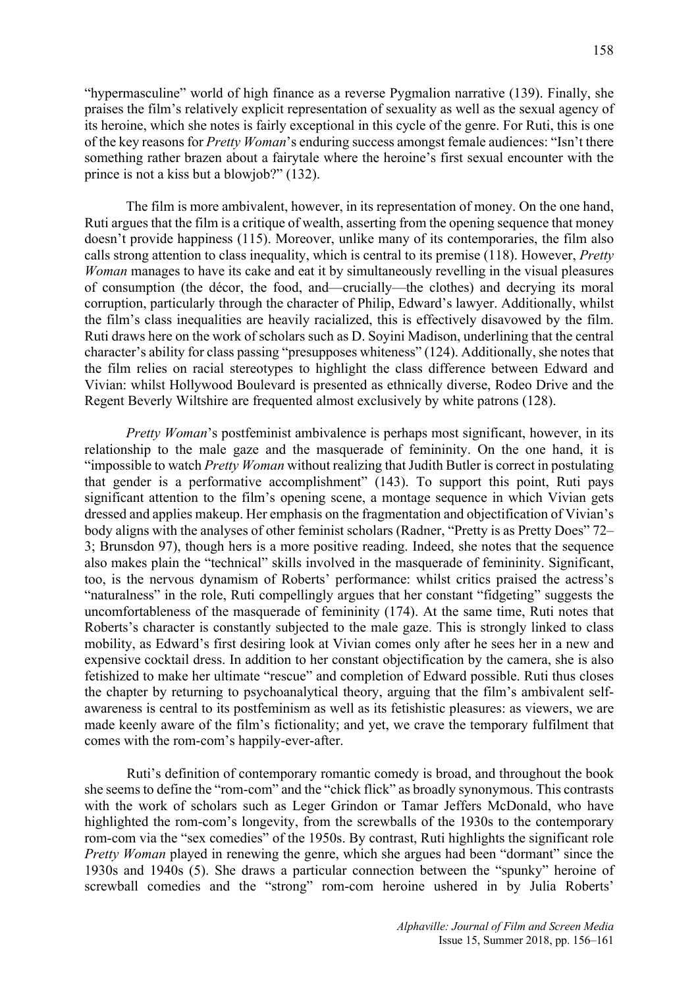"hypermasculine" world of high finance as a reverse Pygmalion narrative (139). Finally, she praises the film's relatively explicit representation of sexuality as well as the sexual agency of its heroine, which she notes is fairly exceptional in this cycle of the genre. For Ruti, this is one of the key reasons for *Pretty Woman*'s enduring success amongst female audiences: "Isn't there something rather brazen about a fairytale where the heroine's first sexual encounter with the prince is not a kiss but a blowjob?" (132).

The film is more ambivalent, however, in its representation of money. On the one hand, Ruti argues that the film is a critique of wealth, asserting from the opening sequence that money doesn't provide happiness (115). Moreover, unlike many of its contemporaries, the film also calls strong attention to class inequality, which is central to its premise (118). However, *Pretty Woman* manages to have its cake and eat it by simultaneously revelling in the visual pleasures of consumption (the décor, the food, and—crucially—the clothes) and decrying its moral corruption, particularly through the character of Philip, Edward's lawyer. Additionally, whilst the film's class inequalities are heavily racialized, this is effectively disavowed by the film. Ruti draws here on the work of scholars such as D. Soyini Madison, underlining that the central character's ability for class passing "presupposes whiteness" (124). Additionally, she notes that the film relies on racial stereotypes to highlight the class difference between Edward and Vivian: whilst Hollywood Boulevard is presented as ethnically diverse, Rodeo Drive and the Regent Beverly Wiltshire are frequented almost exclusively by white patrons (128).

*Pretty Woman's* postfeminist ambivalence is perhaps most significant, however, in its relationship to the male gaze and the masquerade of femininity. On the one hand, it is "impossible to watch *Pretty Woman* without realizing that Judith Butler is correct in postulating that gender is a performative accomplishment" (143). To support this point, Ruti pays significant attention to the film's opening scene, a montage sequence in which Vivian gets dressed and applies makeup. Her emphasis on the fragmentation and objectification of Vivian's body aligns with the analyses of other feminist scholars (Radner, "Pretty is as Pretty Does" 72– 3; Brunsdon 97), though hers is a more positive reading. Indeed, she notes that the sequence also makes plain the "technical" skills involved in the masquerade of femininity. Significant, too, is the nervous dynamism of Roberts' performance: whilst critics praised the actress's "naturalness" in the role, Ruti compellingly argues that her constant "fidgeting" suggests the uncomfortableness of the masquerade of femininity (174). At the same time, Ruti notes that Roberts's character is constantly subjected to the male gaze. This is strongly linked to class mobility, as Edward's first desiring look at Vivian comes only after he sees her in a new and expensive cocktail dress. In addition to her constant objectification by the camera, she is also fetishized to make her ultimate "rescue" and completion of Edward possible. Ruti thus closes the chapter by returning to psychoanalytical theory, arguing that the film's ambivalent selfawareness is central to its postfeminism as well as its fetishistic pleasures: as viewers, we are made keenly aware of the film's fictionality; and yet, we crave the temporary fulfilment that comes with the rom-com's happily-ever-after.

Ruti's definition of contemporary romantic comedy is broad, and throughout the book she seems to define the "rom-com" and the "chick flick" as broadly synonymous. This contrasts with the work of scholars such as Leger Grindon or Tamar Jeffers McDonald, who have highlighted the rom-com's longevity, from the screwballs of the 1930s to the contemporary rom-com via the "sex comedies" of the 1950s. By contrast, Ruti highlights the significant role *Pretty Woman* played in renewing the genre, which she argues had been "dormant" since the 1930s and 1940s (5). She draws a particular connection between the "spunky" heroine of screwball comedies and the "strong" rom-com heroine ushered in by Julia Roberts'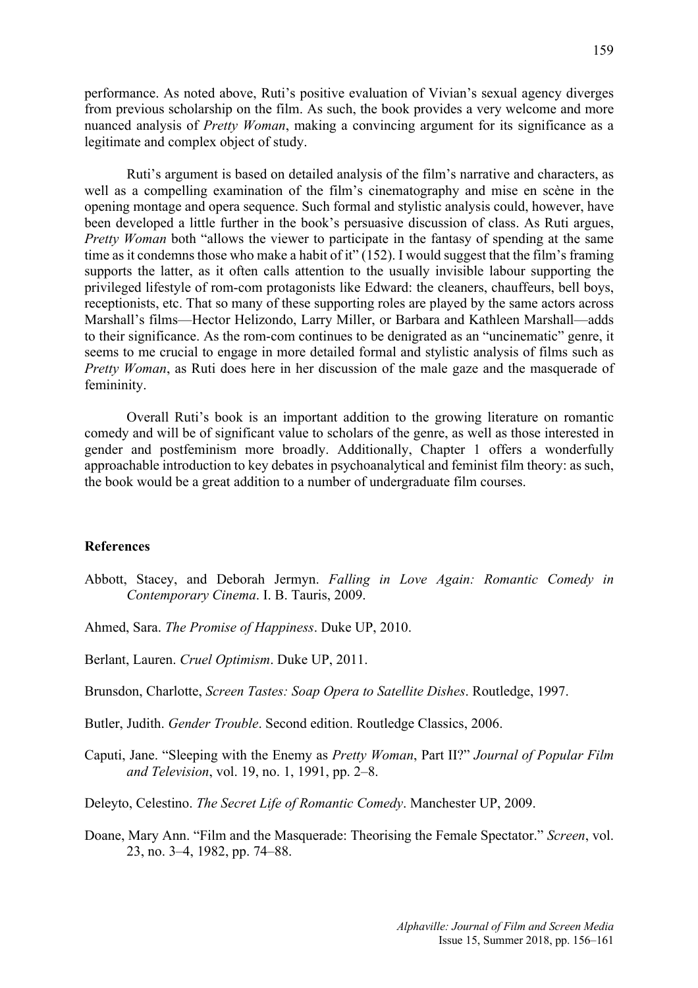performance. As noted above, Ruti's positive evaluation of Vivian's sexual agency diverges from previous scholarship on the film. As such, the book provides a very welcome and more nuanced analysis of *Pretty Woman*, making a convincing argument for its significance as a legitimate and complex object of study.

Ruti's argument is based on detailed analysis of the film's narrative and characters, as well as a compelling examination of the film's cinematography and mise en scène in the opening montage and opera sequence. Such formal and stylistic analysis could, however, have been developed a little further in the book's persuasive discussion of class. As Ruti argues, *Pretty Woman* both "allows the viewer to participate in the fantasy of spending at the same time as it condemns those who make a habit of it" (152). I would suggest that the film's framing supports the latter, as it often calls attention to the usually invisible labour supporting the privileged lifestyle of rom-com protagonists like Edward: the cleaners, chauffeurs, bell boys, receptionists, etc. That so many of these supporting roles are played by the same actors across Marshall's films—Hector Helizondo, Larry Miller, or Barbara and Kathleen Marshall—adds to their significance. As the rom-com continues to be denigrated as an "uncinematic" genre, it seems to me crucial to engage in more detailed formal and stylistic analysis of films such as *Pretty Woman*, as Ruti does here in her discussion of the male gaze and the masquerade of femininity.

Overall Ruti's book is an important addition to the growing literature on romantic comedy and will be of significant value to scholars of the genre, as well as those interested in gender and postfeminism more broadly. Additionally, Chapter 1 offers a wonderfully approachable introduction to key debates in psychoanalytical and feminist film theory: as such, the book would be a great addition to a number of undergraduate film courses.

## **References**

- Abbott, Stacey, and Deborah Jermyn. *Falling in Love Again: Romantic Comedy in Contemporary Cinema*. I. B. Tauris, 2009.
- Ahmed, Sara. *The Promise of Happiness*. Duke UP, 2010.
- Berlant, Lauren. *Cruel Optimism*. Duke UP, 2011.
- Brunsdon, Charlotte, *Screen Tastes: Soap Opera to Satellite Dishes*. Routledge, 1997.
- Butler, Judith. *Gender Trouble*. Second edition. Routledge Classics, 2006.
- Caputi, Jane. "Sleeping with the Enemy as *Pretty Woman*, Part II?" *Journal of Popular Film and Television*, vol. 19, no. 1, 1991, pp. 2–8.

Deleyto, Celestino. *The Secret Life of Romantic Comedy*. Manchester UP, 2009.

Doane, Mary Ann. "Film and the Masquerade: Theorising the Female Spectator." *Screen*, vol. 23, no. 3–4, 1982, pp. 74–88.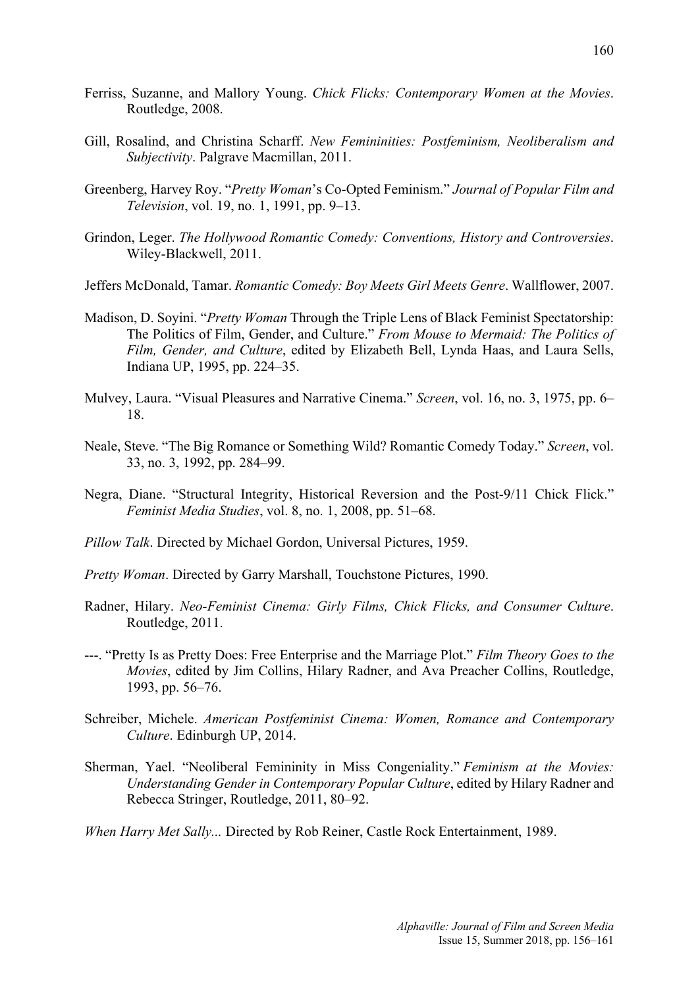160

- Ferriss, Suzanne, and Mallory Young. *Chick Flicks: Contemporary Women at the Movies*. Routledge, 2008.
- Gill, Rosalind, and Christina Scharff. *New Femininities: Postfeminism, Neoliberalism and Subjectivity*. Palgrave Macmillan, 2011.
- Greenberg, Harvey Roy. "*Pretty Woman*'s Co-Opted Feminism." *Journal of Popular Film and Television*, vol. 19, no. 1, 1991, pp. 9–13.
- Grindon, Leger. *The Hollywood Romantic Comedy: Conventions, History and Controversies*. Wiley-Blackwell, 2011.
- Jeffers McDonald, Tamar. *Romantic Comedy: Boy Meets Girl Meets Genre*. Wallflower, 2007.
- Madison, D. Soyini. "*Pretty Woman* Through the Triple Lens of Black Feminist Spectatorship: The Politics of Film, Gender, and Culture." *From Mouse to Mermaid: The Politics of Film, Gender, and Culture*, edited by Elizabeth Bell, Lynda Haas, and Laura Sells, Indiana UP, 1995, pp. 224–35.
- Mulvey, Laura. "Visual Pleasures and Narrative Cinema." *Screen*, vol. 16, no. 3, 1975, pp. 6– 18.
- Neale, Steve. "The Big Romance or Something Wild? Romantic Comedy Today." *Screen*, vol. 33, no. 3, 1992, pp. 284–99.
- Negra, Diane. "Structural Integrity, Historical Reversion and the Post-9/11 Chick Flick." *Feminist Media Studies*, vol. 8, no. 1, 2008, pp. 51–68.
- *Pillow Talk*. Directed by Michael Gordon, Universal Pictures, 1959.
- *Pretty Woman*. Directed by Garry Marshall, Touchstone Pictures, 1990.
- Radner, Hilary. *Neo-Feminist Cinema: Girly Films, Chick Flicks, and Consumer Culture*. Routledge, 2011.
- ---. "Pretty Is as Pretty Does: Free Enterprise and the Marriage Plot." *Film Theory Goes to the Movies*, edited by Jim Collins, Hilary Radner, and Ava Preacher Collins, Routledge, 1993, pp. 56–76.
- Schreiber, Michele. *American Postfeminist Cinema: Women, Romance and Contemporary Culture*. Edinburgh UP, 2014.
- Sherman, Yael. "Neoliberal Femininity in Miss Congeniality." *Feminism at the Movies: Understanding Gender in Contemporary Popular Culture*, edited by Hilary Radner and Rebecca Stringer, Routledge, 2011, 80–92.

*When Harry Met Sally...* Directed by Rob Reiner, Castle Rock Entertainment, 1989.